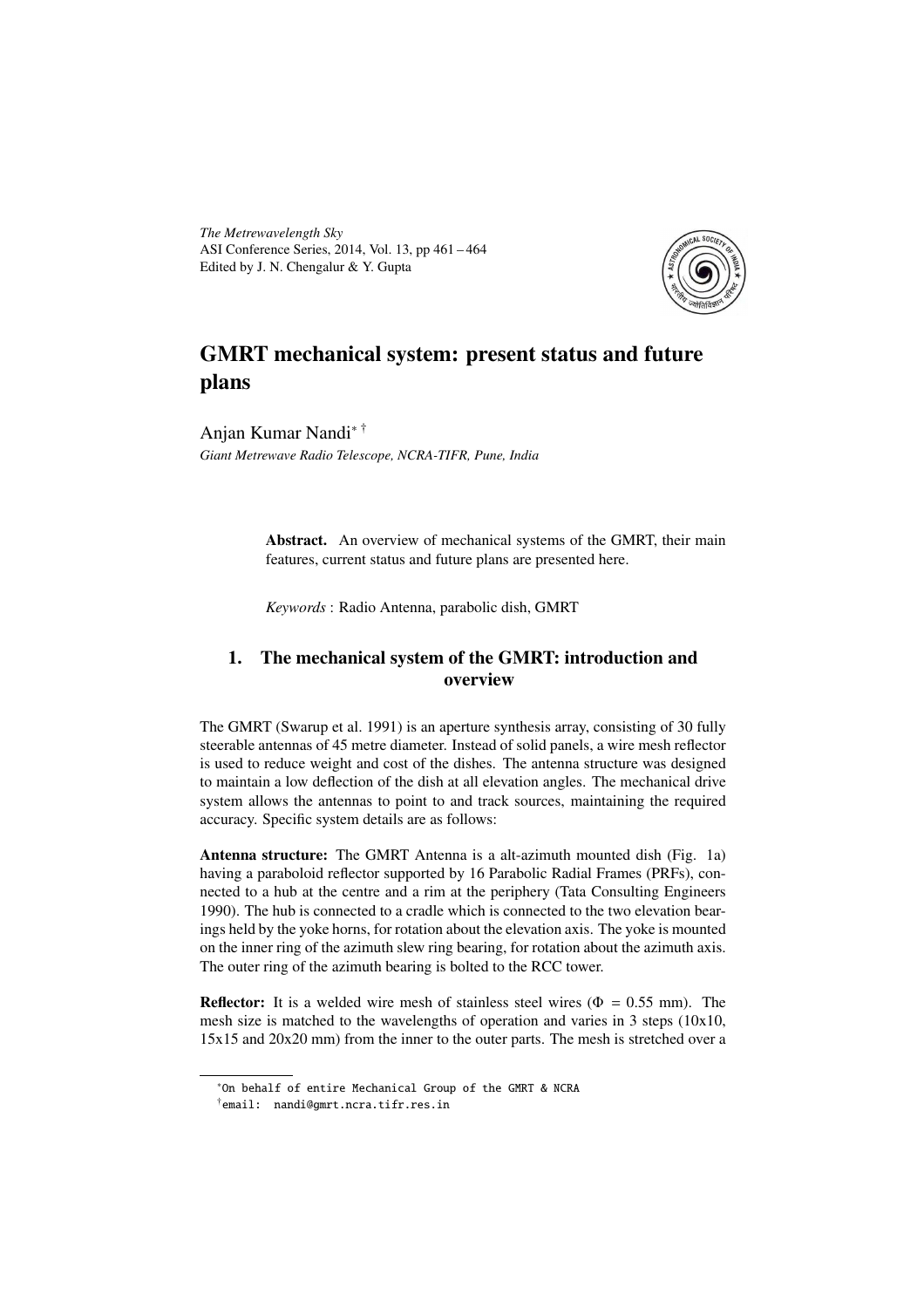*The Metrewavelength Sky* ASI Conference Series, 2014, Vol. 13, pp 461 – 464 Edited by J. N. Chengalur & Y. Gupta



# GMRT mechanical system: present status and future plans

Anjan Kumar Nandi∗ † *Giant Metrewave Radio Telescope, NCRA-TIFR, Pune, India*

> Abstract. An overview of mechanical systems of the GMRT, their main features, current status and future plans are presented here.

*Keywords* : Radio Antenna, parabolic dish, GMRT

## 1. The mechanical system of the GMRT: introduction and overview

The GMRT (Swarup et al. 1991) is an aperture synthesis array, consisting of 30 fully steerable antennas of 45 metre diameter. Instead of solid panels, a wire mesh reflector is used to reduce weight and cost of the dishes. The antenna structure was designed to maintain a low deflection of the dish at all elevation angles. The mechanical drive system allows the antennas to point to and track sources, maintaining the required accuracy. Specific system details are as follows:

Antenna structure: The GMRT Antenna is a alt-azimuth mounted dish (Fig. 1a) having a paraboloid reflector supported by 16 Parabolic Radial Frames (PRFs), connected to a hub at the centre and a rim at the periphery (Tata Consulting Engineers 1990). The hub is connected to a cradle which is connected to the two elevation bearings held by the yoke horns, for rotation about the elevation axis. The yoke is mounted on the inner ring of the azimuth slew ring bearing, for rotation about the azimuth axis. The outer ring of the azimuth bearing is bolted to the RCC tower.

**Reflector:** It is a welded wire mesh of stainless steel wires ( $\Phi = 0.55$  mm). The mesh size is matched to the wavelengths of operation and varies in 3 steps (10x10, 15x15 and 20x20 mm) from the inner to the outer parts. The mesh is stretched over a

<sup>∗</sup>On behalf of entire Mechanical Group of the GMRT & NCRA

<sup>†</sup>email: nandi@gmrt.ncra.tifr.res.in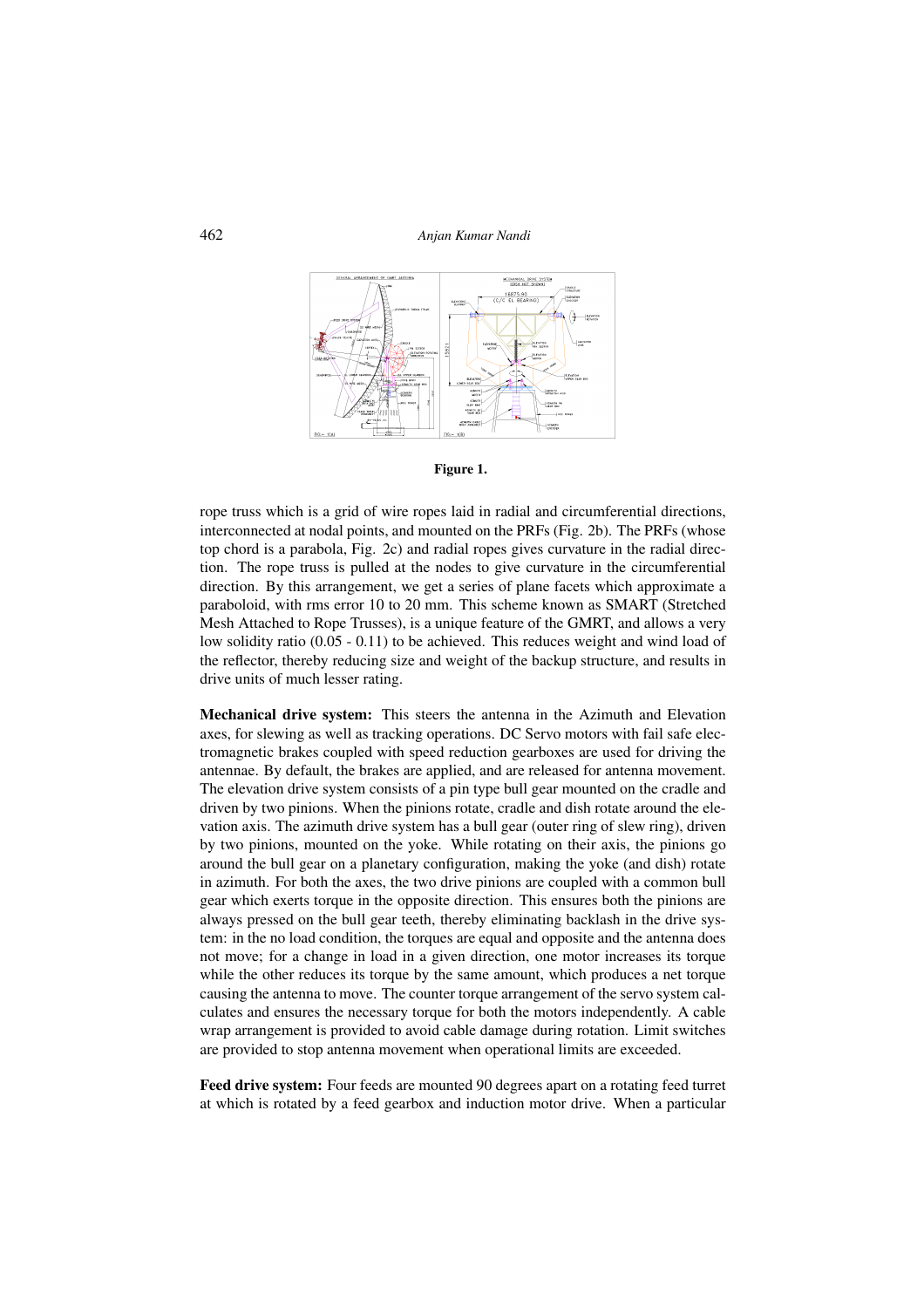462 *Anjan Kumar Nandi*





rope truss which is a grid of wire ropes laid in radial and circumferential directions, interconnected at nodal points, and mounted on the PRFs (Fig. 2b). The PRFs (whose top chord is a parabola, Fig. 2c) and radial ropes gives curvature in the radial direction. The rope truss is pulled at the nodes to give curvature in the circumferential direction. By this arrangement, we get a series of plane facets which approximate a paraboloid, with rms error 10 to 20 mm. This scheme known as SMART (Stretched Mesh Attached to Rope Trusses), is a unique feature of the GMRT, and allows a very low solidity ratio (0.05 - 0.11) to be achieved. This reduces weight and wind load of the reflector, thereby reducing size and weight of the backup structure, and results in drive units of much lesser rating.

Mechanical drive system: This steers the antenna in the Azimuth and Elevation axes, for slewing as well as tracking operations. DC Servo motors with fail safe electromagnetic brakes coupled with speed reduction gearboxes are used for driving the antennae. By default, the brakes are applied, and are released for antenna movement. The elevation drive system consists of a pin type bull gear mounted on the cradle and driven by two pinions. When the pinions rotate, cradle and dish rotate around the elevation axis. The azimuth drive system has a bull gear (outer ring of slew ring), driven by two pinions, mounted on the yoke. While rotating on their axis, the pinions go around the bull gear on a planetary configuration, making the yoke (and dish) rotate in azimuth. For both the axes, the two drive pinions are coupled with a common bull gear which exerts torque in the opposite direction. This ensures both the pinions are always pressed on the bull gear teeth, thereby eliminating backlash in the drive system: in the no load condition, the torques are equal and opposite and the antenna does not move; for a change in load in a given direction, one motor increases its torque while the other reduces its torque by the same amount, which produces a net torque causing the antenna to move. The counter torque arrangement of the servo system calculates and ensures the necessary torque for both the motors independently. A cable wrap arrangement is provided to avoid cable damage during rotation. Limit switches are provided to stop antenna movement when operational limits are exceeded.

Feed drive system: Four feeds are mounted 90 degrees apart on a rotating feed turret at which is rotated by a feed gearbox and induction motor drive. When a particular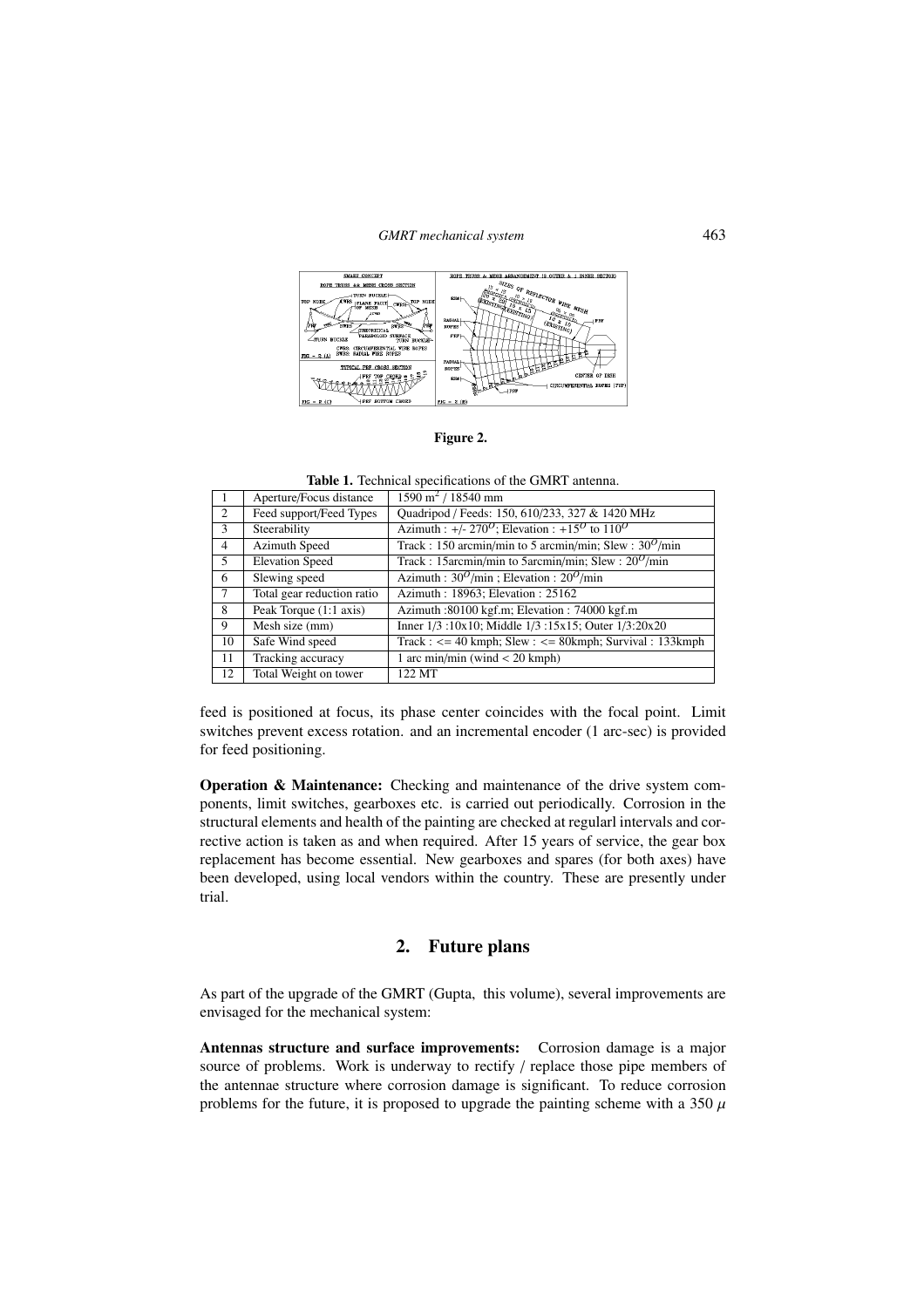#### *GMRT mechanical system* 463



Figure 2.

Table 1. Technical specifications of the GMRT antenna.

|    | Aperture/Focus distance    | $1590 \text{ m}^2$ / 18540 mm                                                     |
|----|----------------------------|-----------------------------------------------------------------------------------|
| 2  | Feed support/Feed Types    | Quadripod / Feeds: 150, 610/233, 327 & 1420 MHz                                   |
| 3  | Steerability               | Azimuth : +/- 270 <sup>0</sup> ; Elevation : +15 <sup>0</sup> to 110 <sup>0</sup> |
| 4  | <b>Azimuth Speed</b>       | Track: 150 arcmin/min to 5 arcmin/min; Slew: $30^{\circ}$ /min                    |
| 5  | <b>Elevation Speed</b>     | Track: 15arcmin/min to 5arcmin/min; Slew: $20^{\circ}$ /min                       |
| 6  | Slewing speed              | Azimuth: $30^{\circ}/\text{min}$ ; Elevation: $20^{\circ}/\text{min}$             |
|    | Total gear reduction ratio | Azimuth: 18963; Elevation: 25162                                                  |
| 8  | Peak Torque (1:1 axis)     | Azimuth: 80100 kgf.m; Elevation: 74000 kgf.m                                      |
| 9  | Mesh size (mm)             | Inner 1/3:10x10; Middle 1/3:15x15; Outer 1/3:20x20                                |
| 10 | Safe Wind speed            | Track: $\langle$ = 40 kmph; Slew: $\langle$ = 80 kmph; Survival: 133 kmph         |
| 11 | Tracking accuracy          | 1 arc min/min (wind $<$ 20 kmph)                                                  |
| 12 | Total Weight on tower      | 122 MT                                                                            |

feed is positioned at focus, its phase center coincides with the focal point. Limit switches prevent excess rotation. and an incremental encoder (1 arc-sec) is provided for feed positioning.

Operation & Maintenance: Checking and maintenance of the drive system components, limit switches, gearboxes etc. is carried out periodically. Corrosion in the structural elements and health of the painting are checked at regularl intervals and corrective action is taken as and when required. After 15 years of service, the gear box replacement has become essential. New gearboxes and spares (for both axes) have been developed, using local vendors within the country. These are presently under trial.

## 2. Future plans

As part of the upgrade of the GMRT (Gupta, this volume), several improvements are envisaged for the mechanical system:

Antennas structure and surface improvements: Corrosion damage is a major source of problems. Work is underway to rectify / replace those pipe members of the antennae structure where corrosion damage is significant. To reduce corrosion problems for the future, it is proposed to upgrade the painting scheme with a 350  $\mu$